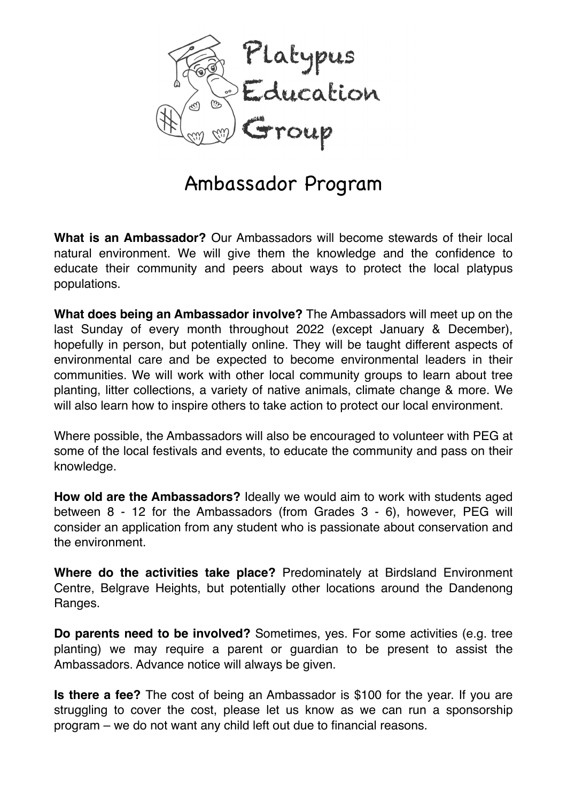

## Ambassador Program

**What is an Ambassador?** Our Ambassadors will become stewards of their local natural environment. We will give them the knowledge and the confidence to educate their community and peers about ways to protect the local platypus populations.

**What does being an Ambassador involve?** The Ambassadors will meet up on the last Sunday of every month throughout 2022 (except January & December), hopefully in person, but potentially online. They will be taught different aspects of environmental care and be expected to become environmental leaders in their communities. We will work with other local community groups to learn about tree planting, litter collections, a variety of native animals, climate change & more. We will also learn how to inspire others to take action to protect our local environment.

Where possible, the Ambassadors will also be encouraged to volunteer with PEG at some of the local festivals and events, to educate the community and pass on their knowledge.

**How old are the Ambassadors?** Ideally we would aim to work with students aged between 8 - 12 for the Ambassadors (from Grades 3 - 6), however, PEG will consider an application from any student who is passionate about conservation and the environment.

**Where do the activities take place?** Predominately at Birdsland Environment Centre, Belgrave Heights, but potentially other locations around the Dandenong Ranges.

**Do parents need to be involved?** Sometimes, yes. For some activities (e.g. tree planting) we may require a parent or guardian to be present to assist the Ambassadors. Advance notice will always be given.

**Is there a fee?** The cost of being an Ambassador is \$100 for the year. If you are struggling to cover the cost, please let us know as we can run a sponsorship program – we do not want any child left out due to financial reasons.